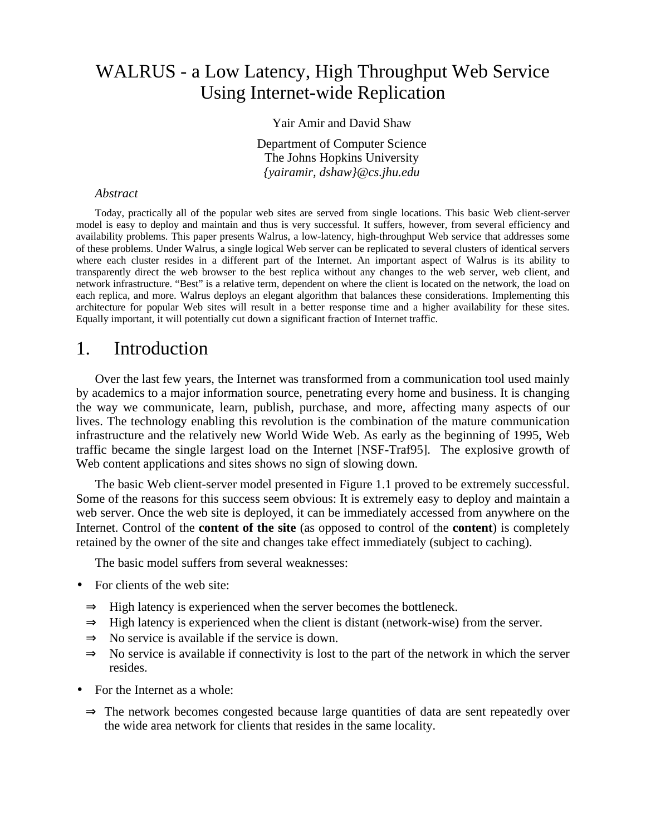# WALRUS - a Low Latency, High Throughput Web Service Using Internet-wide Replication

Yair Amir and David Shaw

Department of Computer Science The Johns Hopkins University *{yairamir, dshaw}@cs.jhu.edu*

#### *Abstract*

Today, practically all of the popular web sites are served from single locations. This basic Web client-server model is easy to deploy and maintain and thus is very successful. It suffers, however, from several efficiency and availability problems. This paper presents Walrus, a low-latency, high-throughput Web service that addresses some of these problems. Under Walrus, a single logical Web server can be replicated to several clusters of identical servers where each cluster resides in a different part of the Internet. An important aspect of Walrus is its ability to transparently direct the web browser to the best replica without any changes to the web server, web client, and network infrastructure. "Best" is a relative term, dependent on where the client is located on the network, the load on each replica, and more. Walrus deploys an elegant algorithm that balances these considerations. Implementing this architecture for popular Web sites will result in a better response time and a higher availability for these sites. Equally important, it will potentially cut down a significant fraction of Internet traffic.

# 1. Introduction

Over the last few years, the Internet was transformed from a communication tool used mainly by academics to a major information source, penetrating every home and business. It is changing the way we communicate, learn, publish, purchase, and more, affecting many aspects of our lives. The technology enabling this revolution is the combination of the mature communication infrastructure and the relatively new World Wide Web. As early as the beginning of 1995, Web traffic became the single largest load on the Internet [NSF-Traf95]. The explosive growth of Web content applications and sites shows no sign of slowing down.

The basic Web client-server model presented in Figure 1.1 proved to be extremely successful. Some of the reasons for this success seem obvious: It is extremely easy to deploy and maintain a web server. Once the web site is deployed, it can be immediately accessed from anywhere on the Internet. Control of the **content of the site** (as opposed to control of the **content**) is completely retained by the owner of the site and changes take effect immediately (subject to caching).

The basic model suffers from several weaknesses:

- For clients of the web site:
	- $\Rightarrow$  High latency is experienced when the server becomes the bottleneck.
	- $\Rightarrow$  High latency is experienced when the client is distant (network-wise) from the server.
	- $\Rightarrow$  No service is available if the service is down.
	- $\Rightarrow$  No service is available if connectivity is lost to the part of the network in which the server resides.
- For the Internet as a whole:
	- $\Rightarrow$  The network becomes congested because large quantities of data are sent repeatedly over the wide area network for clients that resides in the same locality.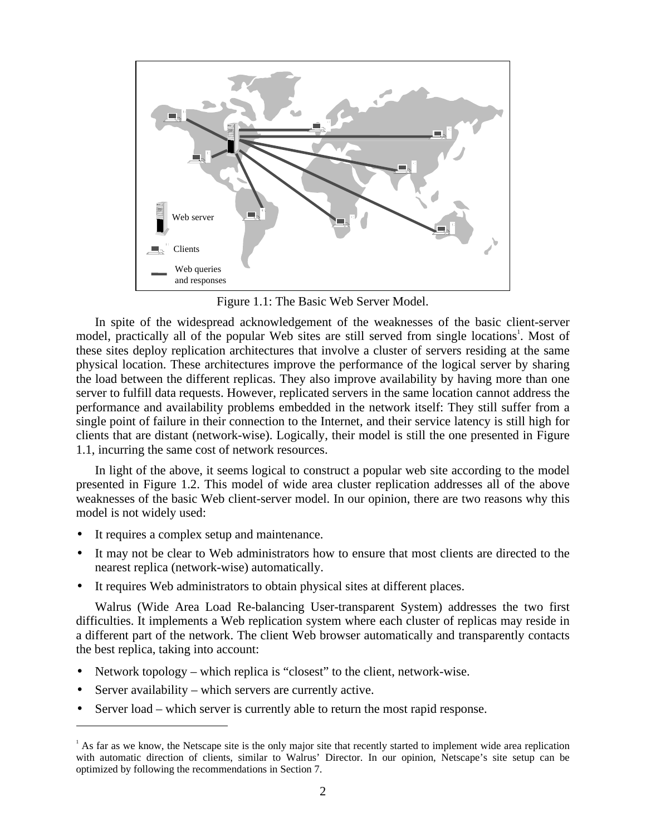

Figure 1.1: The Basic Web Server Model.

In spite of the widespread acknowledgement of the weaknesses of the basic client-server model, practically all of the popular Web sites are still served from single locations<sup>1</sup>. Most of these sites deploy replication architectures that involve a cluster of servers residing at the same physical location. These architectures improve the performance of the logical server by sharing the load between the different replicas. They also improve availability by having more than one server to fulfill data requests. However, replicated servers in the same location cannot address the performance and availability problems embedded in the network itself: They still suffer from a single point of failure in their connection to the Internet, and their service latency is still high for clients that are distant (network-wise). Logically, their model is still the one presented in Figure 1.1, incurring the same cost of network resources.

In light of the above, it seems logical to construct a popular web site according to the model presented in Figure 1.2. This model of wide area cluster replication addresses all of the above weaknesses of the basic Web client-server model. In our opinion, there are two reasons why this model is not widely used:

- It requires a complex setup and maintenance.
- It may not be clear to Web administrators how to ensure that most clients are directed to the nearest replica (network-wise) automatically.
- It requires Web administrators to obtain physical sites at different places.

Walrus (Wide Area Load Re-balancing User-transparent System) addresses the two first difficulties. It implements a Web replication system where each cluster of replicas may reside in a different part of the network. The client Web browser automatically and transparently contacts the best replica, taking into account:

- Network topology which replica is "closest" to the client, network-wise.
- Server availability which servers are currently active.

 $\overline{a}$ 

• Server load – which server is currently able to return the most rapid response.

 $<sup>1</sup>$  As far as we know, the Netscape site is the only major site that recently started to implement wide area replication</sup> with automatic direction of clients, similar to Walrus' Director. In our opinion, Netscape's site setup can be optimized by following the recommendations in Section 7.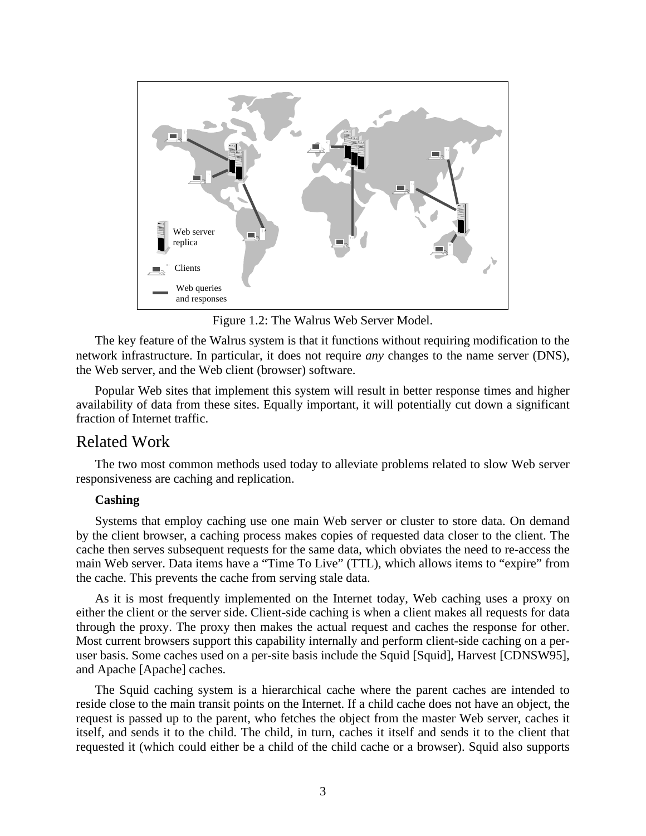

Figure 1.2: The Walrus Web Server Model.

The key feature of the Walrus system is that it functions without requiring modification to the network infrastructure. In particular, it does not require *any* changes to the name server (DNS), the Web server, and the Web client (browser) software.

Popular Web sites that implement this system will result in better response times and higher availability of data from these sites. Equally important, it will potentially cut down a significant fraction of Internet traffic.

### Related Work

The two most common methods used today to alleviate problems related to slow Web server responsiveness are caching and replication.

#### **Cashing**

Systems that employ caching use one main Web server or cluster to store data. On demand by the client browser, a caching process makes copies of requested data closer to the client. The cache then serves subsequent requests for the same data, which obviates the need to re-access the main Web server. Data items have a "Time To Live" (TTL), which allows items to "expire" from the cache. This prevents the cache from serving stale data.

As it is most frequently implemented on the Internet today, Web caching uses a proxy on either the client or the server side. Client-side caching is when a client makes all requests for data through the proxy. The proxy then makes the actual request and caches the response for other. Most current browsers support this capability internally and perform client-side caching on a peruser basis. Some caches used on a per-site basis include the Squid [Squid], Harvest [CDNSW95], and Apache [Apache] caches.

The Squid caching system is a hierarchical cache where the parent caches are intended to reside close to the main transit points on the Internet. If a child cache does not have an object, the request is passed up to the parent, who fetches the object from the master Web server, caches it itself, and sends it to the child. The child, in turn, caches it itself and sends it to the client that requested it (which could either be a child of the child cache or a browser). Squid also supports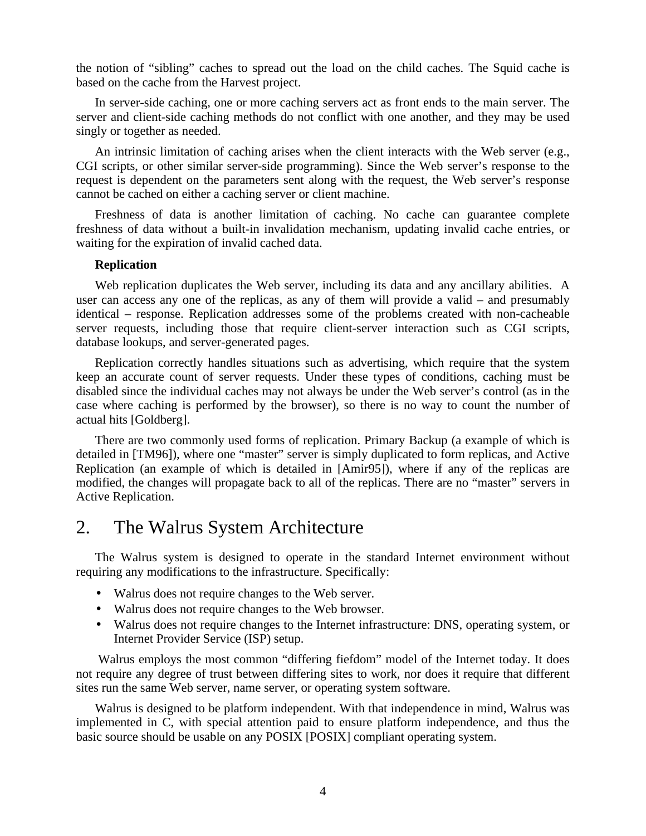the notion of "sibling" caches to spread out the load on the child caches. The Squid cache is based on the cache from the Harvest project.

In server-side caching, one or more caching servers act as front ends to the main server. The server and client-side caching methods do not conflict with one another, and they may be used singly or together as needed.

An intrinsic limitation of caching arises when the client interacts with the Web server (e.g., CGI scripts, or other similar server-side programming). Since the Web server's response to the request is dependent on the parameters sent along with the request, the Web server's response cannot be cached on either a caching server or client machine.

Freshness of data is another limitation of caching. No cache can guarantee complete freshness of data without a built-in invalidation mechanism, updating invalid cache entries, or waiting for the expiration of invalid cached data.

#### **Replication**

Web replication duplicates the Web server, including its data and any ancillary abilities. A user can access any one of the replicas, as any of them will provide a valid – and presumably identical – response. Replication addresses some of the problems created with non-cacheable server requests, including those that require client-server interaction such as CGI scripts, database lookups, and server-generated pages.

Replication correctly handles situations such as advertising, which require that the system keep an accurate count of server requests. Under these types of conditions, caching must be disabled since the individual caches may not always be under the Web server's control (as in the case where caching is performed by the browser), so there is no way to count the number of actual hits [Goldberg].

There are two commonly used forms of replication. Primary Backup (a example of which is detailed in [TM96]), where one "master" server is simply duplicated to form replicas, and Active Replication (an example of which is detailed in [Amir95]), where if any of the replicas are modified, the changes will propagate back to all of the replicas. There are no "master" servers in Active Replication.

# 2. The Walrus System Architecture

The Walrus system is designed to operate in the standard Internet environment without requiring any modifications to the infrastructure. Specifically:

- Walrus does not require changes to the Web server.
- Walrus does not require changes to the Web browser.
- Walrus does not require changes to the Internet infrastructure: DNS, operating system, or Internet Provider Service (ISP) setup.

Walrus employs the most common "differing fiefdom" model of the Internet today. It does not require any degree of trust between differing sites to work, nor does it require that different sites run the same Web server, name server, or operating system software.

Walrus is designed to be platform independent. With that independence in mind, Walrus was implemented in C, with special attention paid to ensure platform independence, and thus the basic source should be usable on any POSIX [POSIX] compliant operating system.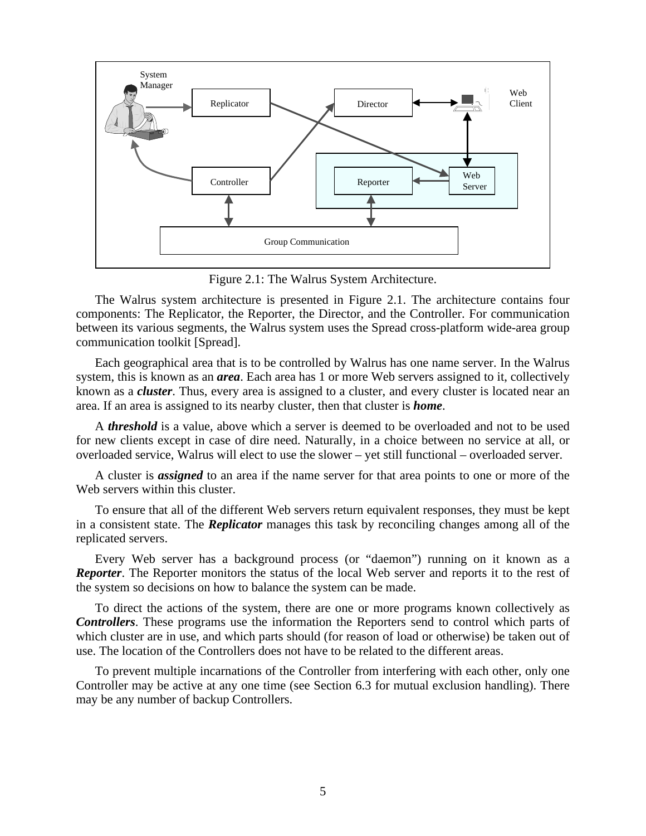

Figure 2.1: The Walrus System Architecture.

The Walrus system architecture is presented in Figure 2.1. The architecture contains four components: The Replicator, the Reporter, the Director, and the Controller. For communication between its various segments, the Walrus system uses the Spread cross-platform wide-area group communication toolkit [Spread].

Each geographical area that is to be controlled by Walrus has one name server. In the Walrus system, this is known as an *area*. Each area has 1 or more Web servers assigned to it, collectively known as a *cluster*. Thus, every area is assigned to a cluster, and every cluster is located near an area. If an area is assigned to its nearby cluster, then that cluster is *home*.

A *threshold* is a value, above which a server is deemed to be overloaded and not to be used for new clients except in case of dire need. Naturally, in a choice between no service at all, or overloaded service, Walrus will elect to use the slower – yet still functional – overloaded server.

A cluster is *assigned* to an area if the name server for that area points to one or more of the Web servers within this cluster.

To ensure that all of the different Web servers return equivalent responses, they must be kept in a consistent state. The *Replicator* manages this task by reconciling changes among all of the replicated servers.

Every Web server has a background process (or "daemon") running on it known as a *Reporter*. The Reporter monitors the status of the local Web server and reports it to the rest of the system so decisions on how to balance the system can be made.

To direct the actions of the system, there are one or more programs known collectively as *Controllers*. These programs use the information the Reporters send to control which parts of which cluster are in use, and which parts should (for reason of load or otherwise) be taken out of use. The location of the Controllers does not have to be related to the different areas.

To prevent multiple incarnations of the Controller from interfering with each other, only one Controller may be active at any one time (see Section 6.3 for mutual exclusion handling). There may be any number of backup Controllers.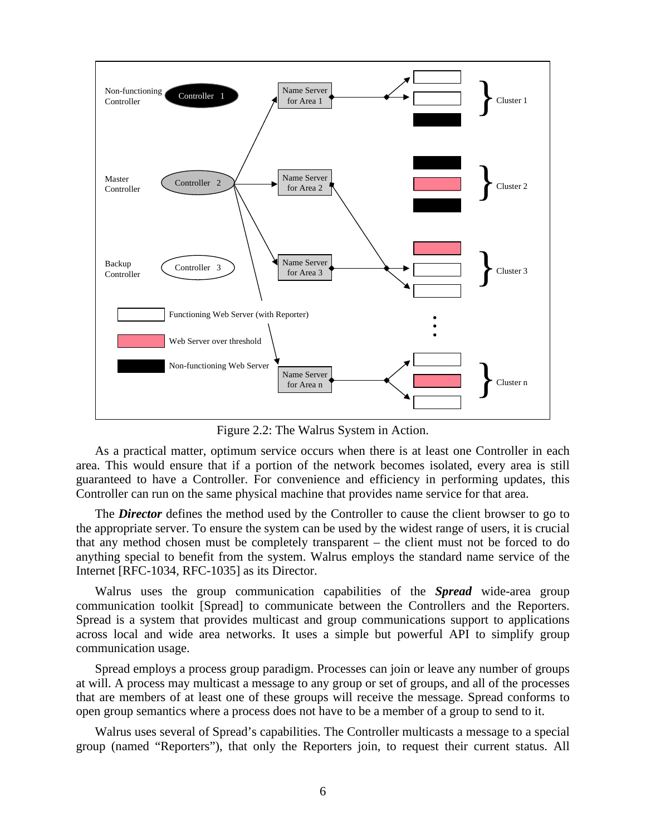

Figure 2.2: The Walrus System in Action.

As a practical matter, optimum service occurs when there is at least one Controller in each area. This would ensure that if a portion of the network becomes isolated, every area is still guaranteed to have a Controller. For convenience and efficiency in performing updates, this Controller can run on the same physical machine that provides name service for that area.

The *Director* defines the method used by the Controller to cause the client browser to go to the appropriate server. To ensure the system can be used by the widest range of users, it is crucial that any method chosen must be completely transparent – the client must not be forced to do anything special to benefit from the system. Walrus employs the standard name service of the Internet [RFC-1034, RFC-1035] as its Director.

Walrus uses the group communication capabilities of the *Spread* wide-area group communication toolkit [Spread] to communicate between the Controllers and the Reporters. Spread is a system that provides multicast and group communications support to applications across local and wide area networks. It uses a simple but powerful API to simplify group communication usage.

Spread employs a process group paradigm. Processes can join or leave any number of groups at will. A process may multicast a message to any group or set of groups, and all of the processes that are members of at least one of these groups will receive the message. Spread conforms to open group semantics where a process does not have to be a member of a group to send to it.

Walrus uses several of Spread's capabilities. The Controller multicasts a message to a special group (named "Reporters"), that only the Reporters join, to request their current status. All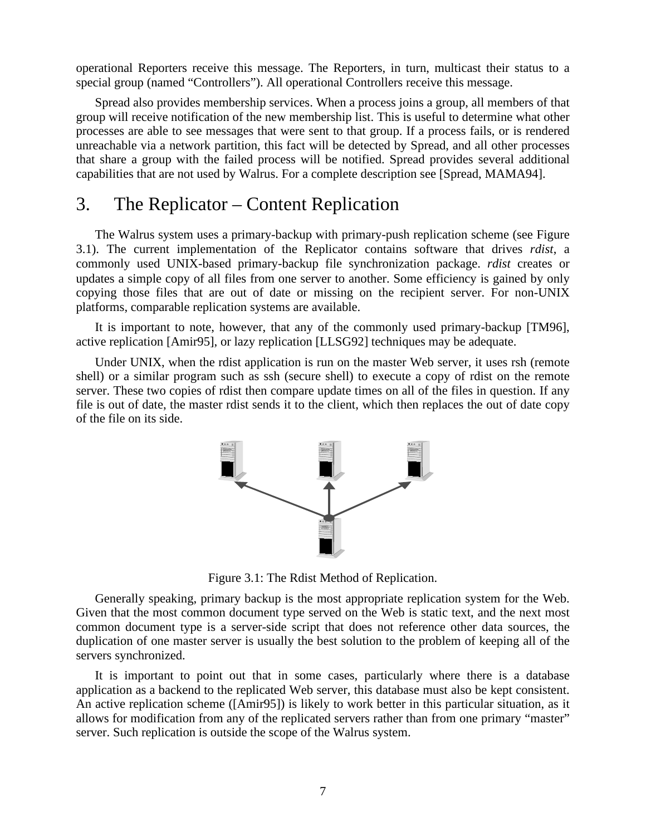operational Reporters receive this message. The Reporters, in turn, multicast their status to a special group (named "Controllers"). All operational Controllers receive this message.

Spread also provides membership services. When a process joins a group, all members of that group will receive notification of the new membership list. This is useful to determine what other processes are able to see messages that were sent to that group. If a process fails, or is rendered unreachable via a network partition, this fact will be detected by Spread, and all other processes that share a group with the failed process will be notified. Spread provides several additional capabilities that are not used by Walrus. For a complete description see [Spread, MAMA94].

# 3. The Replicator – Content Replication

The Walrus system uses a primary-backup with primary-push replication scheme (see Figure 3.1). The current implementation of the Replicator contains software that drives *rdist*, a commonly used UNIX-based primary-backup file synchronization package. *rdist* creates or updates a simple copy of all files from one server to another. Some efficiency is gained by only copying those files that are out of date or missing on the recipient server. For non-UNIX platforms, comparable replication systems are available.

It is important to note, however, that any of the commonly used primary-backup [TM96], active replication [Amir95], or lazy replication [LLSG92] techniques may be adequate.

Under UNIX, when the rdist application is run on the master Web server, it uses rsh (remote shell) or a similar program such as ssh (secure shell) to execute a copy of rdist on the remote server. These two copies of rdist then compare update times on all of the files in question. If any file is out of date, the master rdist sends it to the client, which then replaces the out of date copy of the file on its side.



Figure 3.1: The Rdist Method of Replication.

Generally speaking, primary backup is the most appropriate replication system for the Web. Given that the most common document type served on the Web is static text, and the next most common document type is a server-side script that does not reference other data sources, the duplication of one master server is usually the best solution to the problem of keeping all of the servers synchronized.

It is important to point out that in some cases, particularly where there is a database application as a backend to the replicated Web server, this database must also be kept consistent. An active replication scheme ([Amir95]) is likely to work better in this particular situation, as it allows for modification from any of the replicated servers rather than from one primary "master" server. Such replication is outside the scope of the Walrus system.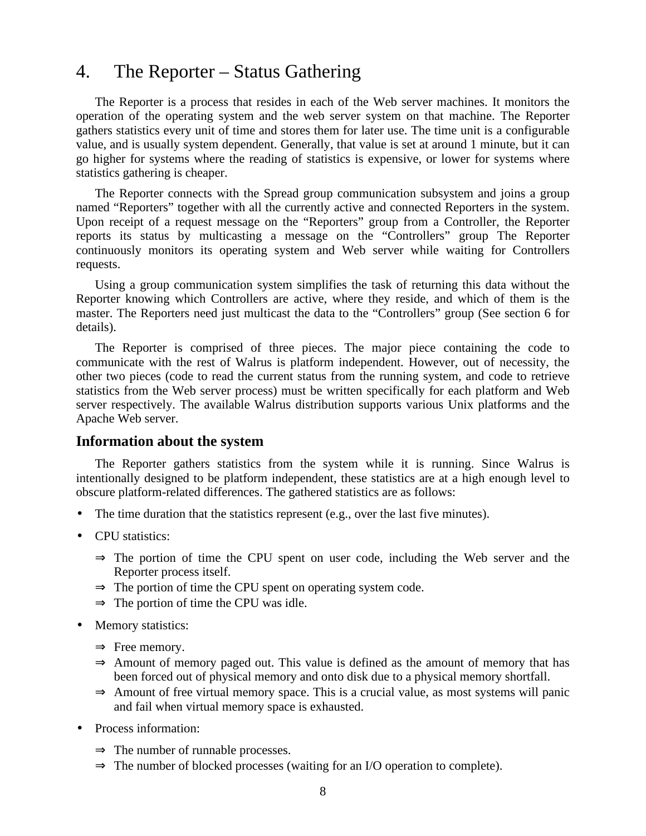# 4. The Reporter – Status Gathering

The Reporter is a process that resides in each of the Web server machines. It monitors the operation of the operating system and the web server system on that machine. The Reporter gathers statistics every unit of time and stores them for later use. The time unit is a configurable value, and is usually system dependent. Generally, that value is set at around 1 minute, but it can go higher for systems where the reading of statistics is expensive, or lower for systems where statistics gathering is cheaper.

The Reporter connects with the Spread group communication subsystem and joins a group named "Reporters" together with all the currently active and connected Reporters in the system. Upon receipt of a request message on the "Reporters" group from a Controller, the Reporter reports its status by multicasting a message on the "Controllers" group The Reporter continuously monitors its operating system and Web server while waiting for Controllers requests.

Using a group communication system simplifies the task of returning this data without the Reporter knowing which Controllers are active, where they reside, and which of them is the master. The Reporters need just multicast the data to the "Controllers" group (See section 6 for details).

The Reporter is comprised of three pieces. The major piece containing the code to communicate with the rest of Walrus is platform independent. However, out of necessity, the other two pieces (code to read the current status from the running system, and code to retrieve statistics from the Web server process) must be written specifically for each platform and Web server respectively. The available Walrus distribution supports various Unix platforms and the Apache Web server.

#### **Information about the system**

The Reporter gathers statistics from the system while it is running. Since Walrus is intentionally designed to be platform independent, these statistics are at a high enough level to obscure platform-related differences. The gathered statistics are as follows:

- The time duration that the statistics represent (e.g., over the last five minutes).
- CPU statistics:
	- $\Rightarrow$  The portion of time the CPU spent on user code, including the Web server and the Reporter process itself.
	- $\Rightarrow$  The portion of time the CPU spent on operating system code.
	- $\Rightarrow$  The portion of time the CPU was idle.
- Memory statistics:
	- $\Rightarrow$  Free memory.
	- $\Rightarrow$  Amount of memory paged out. This value is defined as the amount of memory that has been forced out of physical memory and onto disk due to a physical memory shortfall.
	- $\Rightarrow$  Amount of free virtual memory space. This is a crucial value, as most systems will panic and fail when virtual memory space is exhausted.
- Process information:
	- $\Rightarrow$  The number of runnable processes.
	- $\Rightarrow$  The number of blocked processes (waiting for an I/O operation to complete).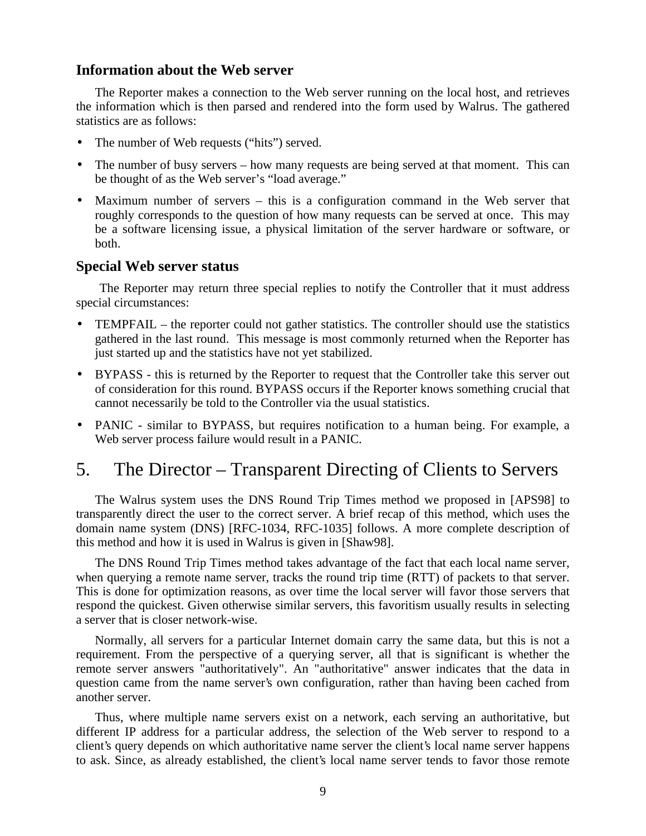#### **Information about the Web server**

The Reporter makes a connection to the Web server running on the local host, and retrieves the information which is then parsed and rendered into the form used by Walrus. The gathered statistics are as follows:

- The number of Web requests ("hits") served.
- The number of busy servers how many requests are being served at that moment. This can be thought of as the Web server's "load average."
- Maximum number of servers this is a configuration command in the Web server that roughly corresponds to the question of how many requests can be served at once. This may be a software licensing issue, a physical limitation of the server hardware or software, or both.

#### **Special Web server status**

The Reporter may return three special replies to notify the Controller that it must address special circumstances:

- TEMPFAIL the reporter could not gather statistics. The controller should use the statistics gathered in the last round. This message is most commonly returned when the Reporter has just started up and the statistics have not yet stabilized.
- BYPASS this is returned by the Reporter to request that the Controller take this server out of consideration for this round. BYPASS occurs if the Reporter knows something crucial that cannot necessarily be told to the Controller via the usual statistics.
- PANIC similar to BYPASS, but requires notification to a human being. For example, a Web server process failure would result in a PANIC.

# 5. The Director – Transparent Directing of Clients to Servers

The Walrus system uses the DNS Round Trip Times method we proposed in [APS98] to transparently direct the user to the correct server. A brief recap of this method, which uses the domain name system (DNS) [RFC-1034, RFC-1035] follows. A more complete description of this method and how it is used in Walrus is given in [Shaw98].

The DNS Round Trip Times method takes advantage of the fact that each local name server, when querying a remote name server, tracks the round trip time (RTT) of packets to that server. This is done for optimization reasons, as over time the local server will favor those servers that respond the quickest. Given otherwise similar servers, this favoritism usually results in selecting a server that is closer network-wise.

Normally, all servers for a particular Internet domain carry the same data, but this is not a requirement. From the perspective of a querying server, all that is significant is whether the remote server answers "authoritatively". An "authoritative" answer indicates that the data in question came from the name server's own configuration, rather than having been cached from another server.

Thus, where multiple name servers exist on a network, each serving an authoritative, but different IP address for a particular address, the selection of the Web server to respond to a client's query depends on which authoritative name server the client's local name server happens to ask. Since, as already established, the client's local name server tends to favor those remote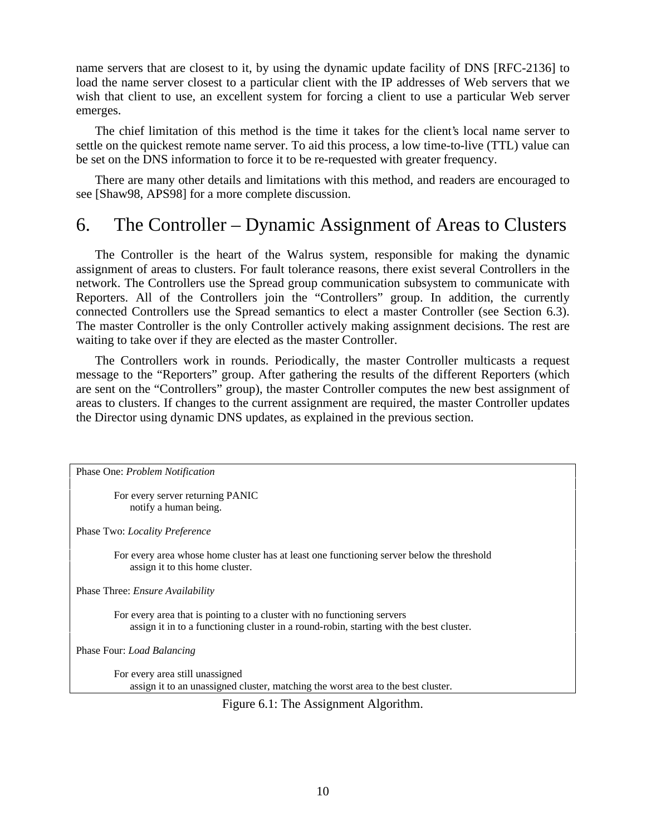name servers that are closest to it, by using the dynamic update facility of DNS [RFC-2136] to load the name server closest to a particular client with the IP addresses of Web servers that we wish that client to use, an excellent system for forcing a client to use a particular Web server emerges.

The chief limitation of this method is the time it takes for the client's local name server to settle on the quickest remote name server. To aid this process, a low time-to-live (TTL) value can be set on the DNS information to force it to be re-requested with greater frequency.

There are many other details and limitations with this method, and readers are encouraged to see [Shaw98, APS98] for a more complete discussion.

# 6. The Controller – Dynamic Assignment of Areas to Clusters

The Controller is the heart of the Walrus system, responsible for making the dynamic assignment of areas to clusters. For fault tolerance reasons, there exist several Controllers in the network. The Controllers use the Spread group communication subsystem to communicate with Reporters. All of the Controllers join the "Controllers" group. In addition, the currently connected Controllers use the Spread semantics to elect a master Controller (see Section 6.3). The master Controller is the only Controller actively making assignment decisions. The rest are waiting to take over if they are elected as the master Controller.

The Controllers work in rounds. Periodically, the master Controller multicasts a request message to the "Reporters" group. After gathering the results of the different Reporters (which are sent on the "Controllers" group), the master Controller computes the new best assignment of areas to clusters. If changes to the current assignment are required, the master Controller updates the Director using dynamic DNS updates, as explained in the previous section.

Phase One: *Problem Notification* For every server returning PANIC notify a human being. Phase Two: *Locality Preference* For every area whose home cluster has at least one functioning server below the threshold assign it to this home cluster. Phase Three: *Ensure Availability* For every area that is pointing to a cluster with no functioning servers assign it in to a functioning cluster in a round-robin, starting with the best cluster. Phase Four: *Load Balancing* For every area still unassigned assign it to an unassigned cluster, matching the worst area to the best cluster.

Figure 6.1: The Assignment Algorithm.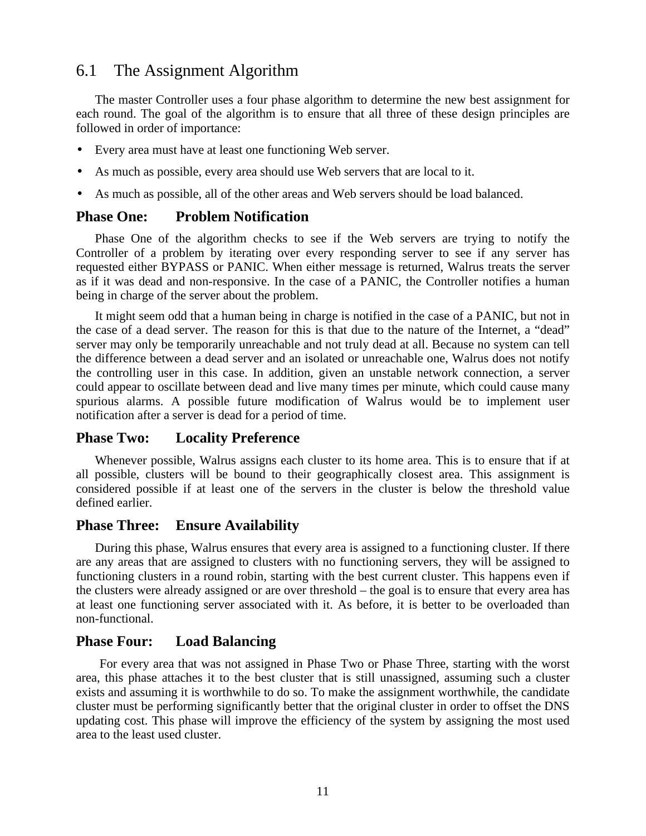## 6.1 The Assignment Algorithm

The master Controller uses a four phase algorithm to determine the new best assignment for each round. The goal of the algorithm is to ensure that all three of these design principles are followed in order of importance:

- Every area must have at least one functioning Web server.
- As much as possible, every area should use Web servers that are local to it.
- As much as possible, all of the other areas and Web servers should be load balanced.

#### **Phase One: Problem Notification**

Phase One of the algorithm checks to see if the Web servers are trying to notify the Controller of a problem by iterating over every responding server to see if any server has requested either BYPASS or PANIC. When either message is returned, Walrus treats the server as if it was dead and non-responsive. In the case of a PANIC, the Controller notifies a human being in charge of the server about the problem.

It might seem odd that a human being in charge is notified in the case of a PANIC, but not in the case of a dead server. The reason for this is that due to the nature of the Internet, a "dead" server may only be temporarily unreachable and not truly dead at all. Because no system can tell the difference between a dead server and an isolated or unreachable one, Walrus does not notify the controlling user in this case. In addition, given an unstable network connection, a server could appear to oscillate between dead and live many times per minute, which could cause many spurious alarms. A possible future modification of Walrus would be to implement user notification after a server is dead for a period of time.

#### **Phase Two: Locality Preference**

Whenever possible, Walrus assigns each cluster to its home area. This is to ensure that if at all possible, clusters will be bound to their geographically closest area. This assignment is considered possible if at least one of the servers in the cluster is below the threshold value defined earlier.

#### **Phase Three: Ensure Availability**

During this phase, Walrus ensures that every area is assigned to a functioning cluster. If there are any areas that are assigned to clusters with no functioning servers, they will be assigned to functioning clusters in a round robin, starting with the best current cluster. This happens even if the clusters were already assigned or are over threshold – the goal is to ensure that every area has at least one functioning server associated with it. As before, it is better to be overloaded than non-functional.

#### **Phase Four: Load Balancing**

For every area that was not assigned in Phase Two or Phase Three, starting with the worst area, this phase attaches it to the best cluster that is still unassigned, assuming such a cluster exists and assuming it is worthwhile to do so. To make the assignment worthwhile, the candidate cluster must be performing significantly better that the original cluster in order to offset the DNS updating cost. This phase will improve the efficiency of the system by assigning the most used area to the least used cluster.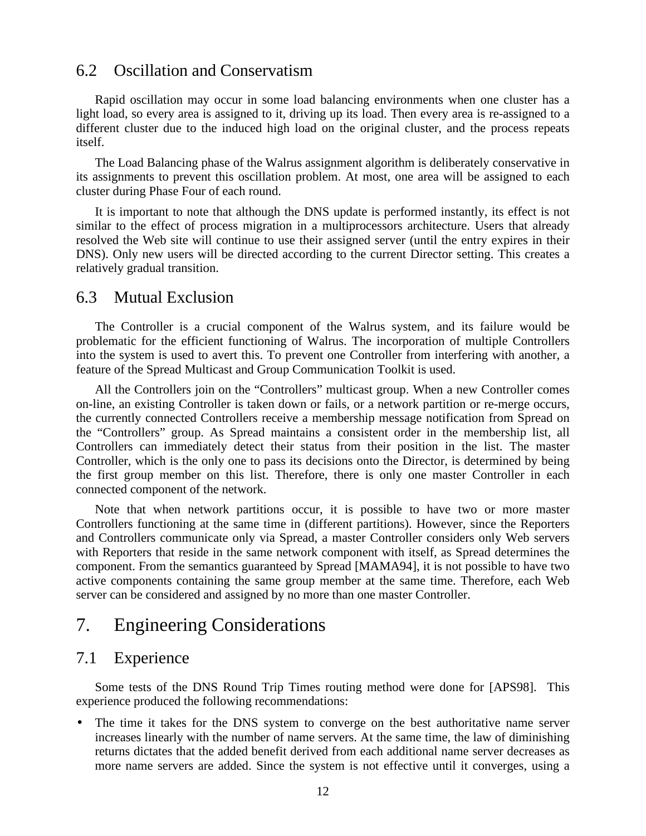### 6.2 Oscillation and Conservatism

Rapid oscillation may occur in some load balancing environments when one cluster has a light load, so every area is assigned to it, driving up its load. Then every area is re-assigned to a different cluster due to the induced high load on the original cluster, and the process repeats itself.

The Load Balancing phase of the Walrus assignment algorithm is deliberately conservative in its assignments to prevent this oscillation problem. At most, one area will be assigned to each cluster during Phase Four of each round.

It is important to note that although the DNS update is performed instantly, its effect is not similar to the effect of process migration in a multiprocessors architecture. Users that already resolved the Web site will continue to use their assigned server (until the entry expires in their DNS). Only new users will be directed according to the current Director setting. This creates a relatively gradual transition.

### 6.3 Mutual Exclusion

The Controller is a crucial component of the Walrus system, and its failure would be problematic for the efficient functioning of Walrus. The incorporation of multiple Controllers into the system is used to avert this. To prevent one Controller from interfering with another, a feature of the Spread Multicast and Group Communication Toolkit is used.

All the Controllers join on the "Controllers" multicast group. When a new Controller comes on-line, an existing Controller is taken down or fails, or a network partition or re-merge occurs, the currently connected Controllers receive a membership message notification from Spread on the "Controllers" group. As Spread maintains a consistent order in the membership list, all Controllers can immediately detect their status from their position in the list. The master Controller, which is the only one to pass its decisions onto the Director, is determined by being the first group member on this list. Therefore, there is only one master Controller in each connected component of the network.

Note that when network partitions occur, it is possible to have two or more master Controllers functioning at the same time in (different partitions). However, since the Reporters and Controllers communicate only via Spread, a master Controller considers only Web servers with Reporters that reside in the same network component with itself, as Spread determines the component. From the semantics guaranteed by Spread [MAMA94], it is not possible to have two active components containing the same group member at the same time. Therefore, each Web server can be considered and assigned by no more than one master Controller.

# 7. Engineering Considerations

### 7.1 Experience

Some tests of the DNS Round Trip Times routing method were done for [APS98]. This experience produced the following recommendations:

The time it takes for the DNS system to converge on the best authoritative name server increases linearly with the number of name servers. At the same time, the law of diminishing returns dictates that the added benefit derived from each additional name server decreases as more name servers are added. Since the system is not effective until it converges, using a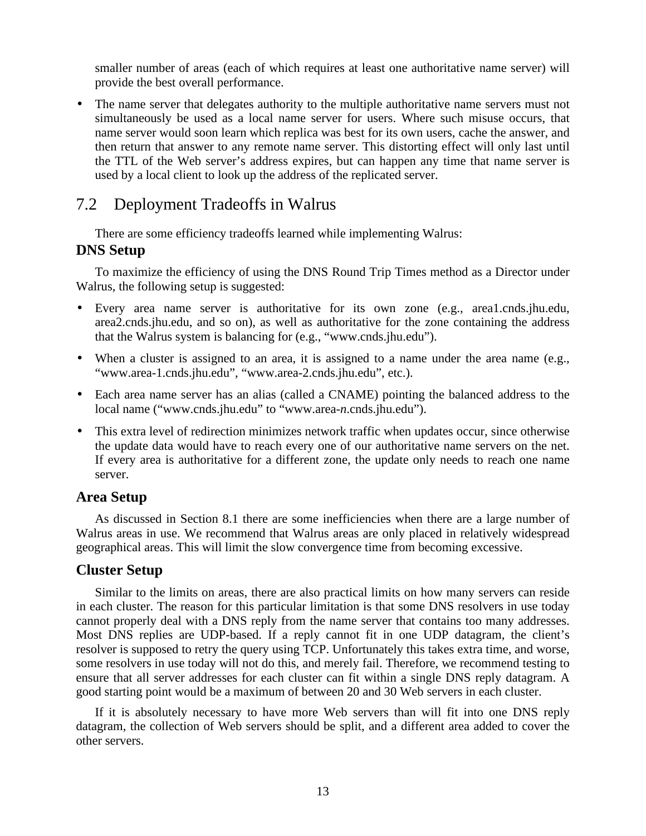smaller number of areas (each of which requires at least one authoritative name server) will provide the best overall performance.

• The name server that delegates authority to the multiple authoritative name servers must not simultaneously be used as a local name server for users. Where such misuse occurs, that name server would soon learn which replica was best for its own users, cache the answer, and then return that answer to any remote name server. This distorting effect will only last until the TTL of the Web server's address expires, but can happen any time that name server is used by a local client to look up the address of the replicated server.

# 7.2 Deployment Tradeoffs in Walrus

There are some efficiency tradeoffs learned while implementing Walrus:

#### **DNS Setup**

To maximize the efficiency of using the DNS Round Trip Times method as a Director under Walrus, the following setup is suggested:

- Every area name server is authoritative for its own zone (e.g., area1.cnds.jhu.edu, area2.cnds.jhu.edu, and so on), as well as authoritative for the zone containing the address that the Walrus system is balancing for (e.g., "www.cnds.jhu.edu").
- When a cluster is assigned to an area, it is assigned to a name under the area name (e.g., "www.area-1.cnds.jhu.edu", "www.area-2.cnds.jhu.edu", etc.).
- Each area name server has an alias (called a CNAME) pointing the balanced address to the local name ("www.cnds.jhu.edu" to "www.area-*n*.cnds.jhu.edu").
- This extra level of redirection minimizes network traffic when updates occur, since otherwise the update data would have to reach every one of our authoritative name servers on the net. If every area is authoritative for a different zone, the update only needs to reach one name server.

### **Area Setup**

As discussed in Section 8.1 there are some inefficiencies when there are a large number of Walrus areas in use. We recommend that Walrus areas are only placed in relatively widespread geographical areas. This will limit the slow convergence time from becoming excessive.

### **Cluster Setup**

Similar to the limits on areas, there are also practical limits on how many servers can reside in each cluster. The reason for this particular limitation is that some DNS resolvers in use today cannot properly deal with a DNS reply from the name server that contains too many addresses. Most DNS replies are UDP-based. If a reply cannot fit in one UDP datagram, the client's resolver is supposed to retry the query using TCP. Unfortunately this takes extra time, and worse, some resolvers in use today will not do this, and merely fail. Therefore, we recommend testing to ensure that all server addresses for each cluster can fit within a single DNS reply datagram. A good starting point would be a maximum of between 20 and 30 Web servers in each cluster.

If it is absolutely necessary to have more Web servers than will fit into one DNS reply datagram, the collection of Web servers should be split, and a different area added to cover the other servers.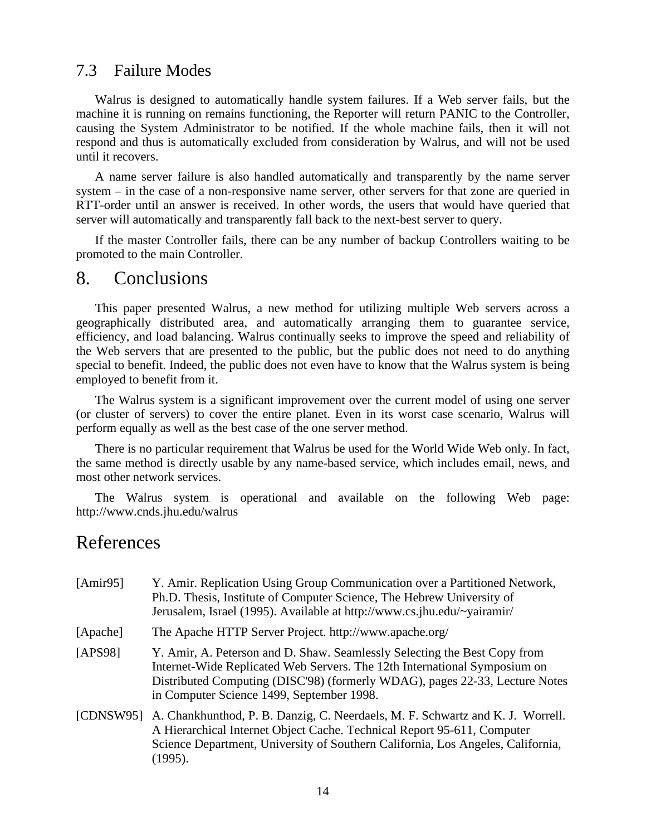### 7.3 Failure Modes

Walrus is designed to automatically handle system failures. If a Web server fails, but the machine it is running on remains functioning, the Reporter will return PANIC to the Controller, causing the System Administrator to be notified. If the whole machine fails, then it will not respond and thus is automatically excluded from consideration by Walrus, and will not be used until it recovers.

A name server failure is also handled automatically and transparently by the name server system – in the case of a non-responsive name server, other servers for that zone are queried in RTT-order until an answer is received. In other words, the users that would have queried that server will automatically and transparently fall back to the next-best server to query.

If the master Controller fails, there can be any number of backup Controllers waiting to be promoted to the main Controller.

## 8. Conclusions

This paper presented Walrus, a new method for utilizing multiple Web servers across a geographically distributed area, and automatically arranging them to guarantee service, efficiency, and load balancing. Walrus continually seeks to improve the speed and reliability of the Web servers that are presented to the public, but the public does not need to do anything special to benefit. Indeed, the public does not even have to know that the Walrus system is being employed to benefit from it.

The Walrus system is a significant improvement over the current model of using one server (or cluster of servers) to cover the entire planet. Even in its worst case scenario, Walrus will perform equally as well as the best case of the one server method.

There is no particular requirement that Walrus be used for the World Wide Web only. In fact, the same method is directly usable by any name-based service, which includes email, news, and most other network services.

The Walrus system is operational and available on the following Web page: http://www.cnds.jhu.edu/walrus

# References

| [Amir95]  | Y. Amir. Replication Using Group Communication over a Partitioned Network,<br>Ph.D. Thesis, Institute of Computer Science, The Hebrew University of<br>Jerusalem, Israel (1995). Available at http://www.cs.jhu.edu/~yairamir/                                                     |
|-----------|------------------------------------------------------------------------------------------------------------------------------------------------------------------------------------------------------------------------------------------------------------------------------------|
| [Apache]  | The Apache HTTP Server Project. http://www.apache.org/                                                                                                                                                                                                                             |
| [APS98]   | Y. Amir, A. Peterson and D. Shaw. Seamlessly Selecting the Best Copy from<br>Internet-Wide Replicated Web Servers. The 12th International Symposium on<br>Distributed Computing (DISC'98) (formerly WDAG), pages 22-33, Lecture Notes<br>in Computer Science 1499, September 1998. |
| [CDNSW95] | A. Chankhunthod, P. B. Danzig, C. Neerdaels, M. F. Schwartz and K. J. Worrell.<br>A Hierarchical Internet Object Cache. Technical Report 95-611, Computer<br>Science Department, University of Southern California, Los Angeles, California,<br>(1995).                            |